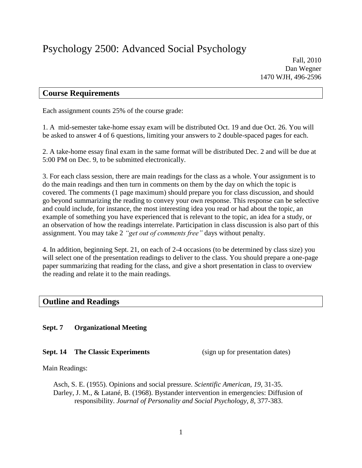# **Course Requirements**

Each assignment counts 25% of the course grade:

1. A mid-semester take-home essay exam will be distributed Oct. 19 and due Oct. 26. You will be asked to answer 4 of 6 questions, limiting your answers to 2 double-spaced pages for each.

2. A take-home essay final exam in the same format will be distributed Dec. 2 and will be due at 5:00 PM on Dec. 9, to be submitted electronically.

3. For each class session, there are main readings for the class as a whole. Your assignment is to do the main readings and then turn in comments on them by the day on which the topic is covered. The comments (1 page maximum) should prepare you for class discussion, and should go beyond summarizing the reading to convey your own response. This response can be selective and could include, for instance, the most interesting idea you read or had about the topic, an example of something you have experienced that is relevant to the topic, an idea for a study, or an observation of how the readings interrelate. Participation in class discussion is also part of this assignment. You may take 2 *"get out of comments free"* days without penalty.

4. In addition, beginning Sept. 21, on each of 2-4 occasions (to be determined by class size) you will select one of the presentation readings to deliver to the class. You should prepare a one-page paper summarizing that reading for the class, and give a short presentation in class to overview the reading and relate it to the main readings.

# **Outline and Readings**

# **Sept. 7 Organizational Meeting**

# **Sept. 14 The Classic Experiments** (sign up for presentation dates)

Main Readings:

Asch, S. E. (1955). Opinions and social pressure. *Scientific American, 19*, 31-35. Darley, J. M., & Latané, B. (1968). Bystander intervention in emergencies: Diffusion of responsibility. *Journal of Personality and Social Psychology, 8*, 377-383.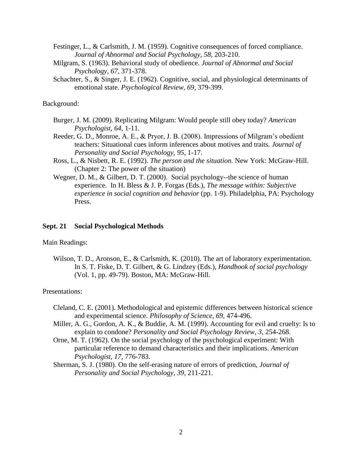Festinger, L., & Carlsmith, J. M. (1959). Cognitive consequences of forced compliance. *Journal of Abnormal and Social Psychology, 58*, 203-210.

- Milgram, S. (1963). Behavioral study of obedience. *Journal of Abnormal and Social Psychology, 67*, 371-378.
- Schachter, S., & Singer, J. E. (1962). Cognitive, social, and physiological determinants of emotional state. *Psychological Review, 69*, 379-399.

# Background:

- Burger, J. M. (2009). Replicating Milgram: Would people still obey today? *American Psychologist, 64*, 1-11.
- Reeder, G. D., Monroe, A. E., & Pryor, J. B. (2008). Impressions of Milgram's obedient teachers: Situational cues inform inferences about motives and traits. *Journal of Personality and Social Psychology, 95*, 1-17.
- Ross, L., & Nisbett, R. E. (1992). *The person and the situation.* New York: McGraw-Hill. (Chapter 2: The power of the situation)
- Wegner, D. M., & Gilbert, D. T. (2000). Social psychology--the science of human experience. In H. Bless & J. P. Forgas (Eds.), *The message within: Subjective experience in social cognition and behavior* (pp. 1-9). Philadelphia, PA: Psychology Press.

#### **Sept. 21 Social Psychological Methods**

# Main Readings:

Wilson, T. D., Aronson, E., & Carlsmith, K. (2010). The art of laboratory experimentation. In S. T. Fiske, D. T. Gilbert, & G. Lindzey (Eds.), *Handbook of social psychology* (Vol. 1, pp. 49-79). Boston, MA: McGraw-Hill.

- Cleland, C. E. (2001). Methodological and epistemic differences between historical science and experimental science. *Philosophy of Science, 69*, 474-496.
- Miller, A. G., Gordon, A. K., & Buddie, A. M. (1999). Accounting for evil and cruelty: Is to explain to condone? *Personality and Social Psychology Review, 3,* 254-268.
- Orne, M. T. (1962). On the social psychology of the psychological experiment: With particular reference to demand characteristics and their implications. *American Psychologist, 17,* 776-783.
- Sherman, S. J. (1980). On the self-erasing nature of errors of prediction, *Journal of Personality and Social Psychology, 39*, 211-221.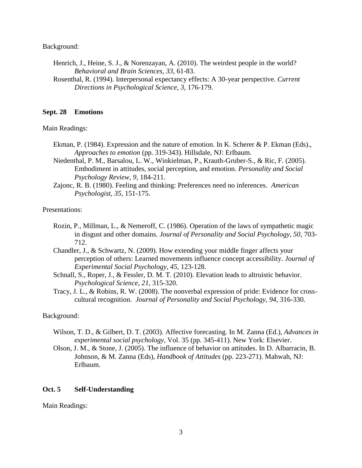Background:

- Henrich, J., Heine, S. J., & Norenzayan, A. (2010). The weirdest people in the world? *Behavioral and Brain Sciences, 33,* 61-83.
- Rosenthal, R. (1994). Interpersonal expectancy effects: A 30-year perspective. *Current Directions in Psychological Science, 3,* 176-179.

# **Sept. 28 Emotions**

Main Readings:

- Ekman, P. (1984). Expression and the nature of emotion. In K. Scherer & P. Ekman (Eds)., *Approaches to emotion* (pp. 319-343). Hillsdale, NJ: Erlbaum.
- Niedenthal, P. M., Barsalou, L. W., Winkielman, P., Krauth-Gruber-S., & Ric, F. (2005). Embodiment in attitudes, social perception, and emotion. *Personality and Social Psychology Review, 9,* 184-211.
- Zajonc, R. B. (1980). Feeling and thinking: Preferences need no inferences. *American Psychologist, 35*, 151-175.

Presentations:

- Rozin, P., Millman, L., & Nemeroff, C. (1986). Operation of the laws of sympathetic magic in disgust and other domains. *Journal of Personality and Social Psychology, 50*, 703- 712.
- Chandler, J., & Schwartz, N. (2009). How extending your middle finger affects your perception of others: Learned movements influence concept accessibility. *Journal of Experimental Social Psychology, 45,* 123-128.
- Schnall, S., Roper, J., & Fessler, D. M. T. (2010). Elevation leads to altruistic behavior. *Psychological Science, 21*, 315-320.
- Tracy, J. L., & Robins, R. W. (2008). The nonverbal expression of pride: Evidence for crosscultural recognition. *Journal of Personality and Social Psychology, 94,* 316-330.

# Background:

- Wilson, T. D., & Gilbert, D. T. (2003). Affective forecasting. In M. Zanna (Ed.), *Advances in experimental social psychology*, Vol. 35 (pp. 345-411). New York: Elsevier.
- Olson, J. M., & Stone, J. (2005). The influence of behavior on attitudes. In D. Albarracin, B. Johnson, & M. Zanna (Eds), *Handbook of Attitudes* (pp. 223-271). Mahwah, NJ: Erlbaum.

# **Oct. 5 Self-Understanding**

Main Readings: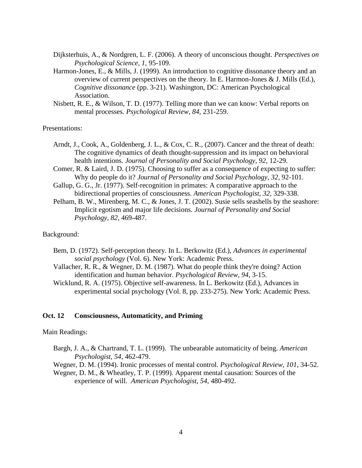- Dijksterhuis, A., & Nordgren, L. F. (2006). A theory of unconscious thought. *Perspectives on Psychological Science, 1,* 95-109.
- Harmon-Jones, E., & Mills, J. (1999). An introduction to cognitive dissonance theory and an overview of current perspectives on the theory. In E. Harmon-Jones & J. Mills (Ed.), *Cognitive dissonance* (pp. 3-21). Washington, DC: American Psychological Association.
- Nisbett, R. E., & Wilson, T. D. (1977). Telling more than we can know: Verbal reports on mental processes. *Psychological Review, 84*, 231-259.

# Presentations:

- Arndt, J., Cook, A., Goldenberg, J. L., & Cox, C. R., (2007). Cancer and the threat of death: The cognitive dynamics of death thought-suppression and its impact on behavioral health intentions. *Journal of Personality and Social Psychology, 92,* 12-29.
- Comer, R. & Laird, J. D. (1975). Choosing to suffer as a consequence of expecting to suffer: Why do people do it? *Journal of Personality and Social Psychology, 32,* 92-101.
- Gallup, G. G., Jr. (1977). Self-recognition in primates: A comparative approach to the bidirectional properties of consciousness. *American Psychologist, 32*, 329-338.
- Pelham, B. W., Mirenberg, M. C., & Jones, J. T. (2002). Susie sells seashells by the seashore: Implicit egotism and major life decisions. *Journal of Personality and Social Psychology, 82,* 469-487.

#### Background:

- Bem, D. (1972). Self-perception theory. In L. Berkowitz (Ed.), *Advances in experimental social psychology* (Vol. 6). New York: Academic Press.
- Vallacher, R. R., & Wegner, D. M. (1987). What do people think they're doing? Action identification and human behavior. *Psychological Review, 94*, 3-15.
- Wicklund, R. A. (1975). Objective self-awareness. In L. Berkowitz (Ed.), Advances in experimental social psychology (Vol. 8, pp. 233-275). New York: Academic Press.

# **Oct. 12 Consciousness, Automaticity, and Priming**

# Main Readings:

Bargh, J. A., & Chartrand, T. L. (1999). The unbearable automaticity of being. *American Psychologist, 54,* 462-479.

Wegner, D. M. (1994). Ironic processes of mental control. *Psychological Review, 101*, 34-52.

Wegner, D. M., & Wheatley, T. P. (1999). Apparent mental causation: Sources of the experience of will. *American Psychologist, 54*, 480-492.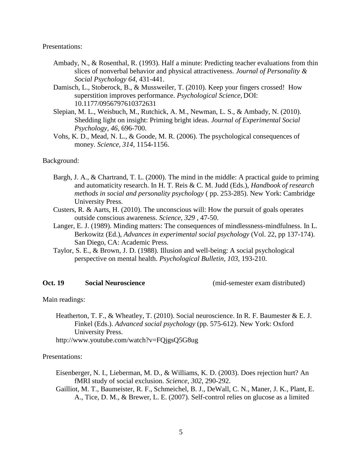Presentations:

- Ambady, N., & Rosenthal, R. (1993). Half a minute: Predicting teacher evaluations from thin slices of nonverbal behavior and physical attractiveness. *Journal of Personality & Social Psychology 64*, 431-441.
- Damisch, L., Stoberock, B., & Mussweiler, T. (2010). Keep your fingers crossed! How superstition improves performance. *Psychological Science,* DOI: 10.1177/0956797610372631
- Slepian, M. L., Weisbuch, M., Rutchick, A. M., Newman, L. S., & Ambady, N. (2010). Shedding light on insight: Priming bright ideas. *Journal of Experimental Social Psychology, 46,* 696-700.
- Vohs, K. D., Mead, N. L., & Goode, M. R. (2006). The psychological consequences of money. *Science, 314,* 1154-1156.

#### Background:

- Bargh, J. A., & Chartrand, T. L. (2000). The mind in the middle: A practical guide to priming and automaticity research. In H. T. Reis & C. M. Judd (Eds.), *Handbook of research methods in social and personality psychology* ( pp. 253-285). New York: Cambridge University Press.
- Custers, R. & Aarts, H. (2010). The unconscious will: How the pursuit of goals operates outside conscious awareness. *Science, 329 ,* 47-50.
- Langer, E. J. (1989). Minding matters: The consequences of mindlessness-mindfulness. In L. Berkowitz (Ed.), *Advances in experimental social psychology* (Vol. 22, pp 137-174). San Diego, CA: Academic Press.
- Taylor, S. E., & Brown, J. D. (1988). Illusion and well-being: A social psychological perspective on mental health. *Psychological Bulletin, 103*, 193-210.

# **Oct. 19 Social Neuroscience** (mid-semester exam distributed)

Main readings:

Heatherton, T. F., & Wheatley, T. (2010). Social neuroscience. In R. F. Baumester & E. J. Finkel (Eds.). *Advanced social psychology* (pp. 575-612). New York: Oxford University Press.

http://www.youtube.com/watch?v=FQjgsQ5G8ug

- Eisenberger, N. I., Lieberman, M. D., & Williams, K. D. (2003). Does rejection hurt? An fMRI study of social exclusion. *Science, 302*, 290-292.
- Gailliot, M. T., Baumeister, R. F., Schmeichel, B. J., DeWall, C. N., Maner, J. K., Plant, E. A., Tice, D. M., & Brewer, L. E. (2007). Self-control relies on glucose as a limited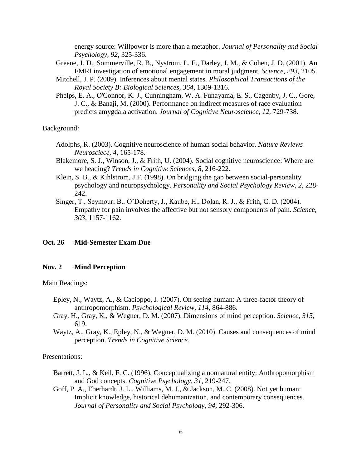energy source: Willpower is more than a metaphor. *Journal of Personality and Social Psychology, 92,* 325-336.

- Greene, J. D., Sommerville, R. B., Nystrom, L. E., Darley, J. M., & Cohen, J. D. (2001). An FMRI investigation of emotional engagement in moral judgment. *Science, 293,* 2105.
- Mitchell, J. P. (2009). Inferences about mental states. *Philosophical Transactions of the Royal Society B: Biological Sciences, 364,* 1309-1316.
- Phelps, E. A., O'Connor, K. J., Cunningham, W. A. Funayama, E. S., Cagenby, J. C., Gore, J. C., & Banaji, M. (2000). Performance on indirect measures of race evaluation predicts amygdala activation. *Journal of Cognitive Neuroscience, 12,* 729-738.

Background:

- Adolphs, R. (2003). Cognitive neuroscience of human social behavior. *Nature Reviews Neurosciece, 4,* 165-178.
- Blakemore, S. J., Winson, J., & Frith, U. (2004). Social cognitive neuroscience: Where are we heading? *Trends in Cognitive Sciences, 8*, 216-222.
- Klein, S. B., & Kihlstrom, J.F. (1998). On bridging the gap between social-personality psychology and neuropsychology. *Personality and Social Psychology Review, 2,* 228- 242.
- Singer, T., Seymour, B., O'Doherty, J., Kaube, H., Dolan, R. J., & Frith, C. D. (2004). Empathy for pain involves the affective but not sensory components of pain. *Science, 303,* 1157-1162.

### **Oct. 26 Mid-Semester Exam Due**

# **Nov. 2 Mind Perception**

Main Readings:

- Epley, N., Waytz, A., & Cacioppo, J. (2007). On seeing human: A three-factor theory of anthropomorphism. *Psychological Review, 114,* 864-886.
- Gray, H., Gray, K., & Wegner, D. M. (2007). Dimensions of mind perception. *Science, 315,*  619.
- Waytz, A., Gray, K., Epley, N., & Wegner, D. M. (2010). Causes and consequences of mind perception. *Trends in Cognitive Science.*

- Barrett, J. L., & Keil, F. C. (1996). Conceptualizing a nonnatural entity: Anthropomorphism and God concepts. *Cognitive Psychology, 31*, 219-247.
- Goff, P. A., Eberhardt, J. L., Williams, M. J., & Jackson, M. C. (2008). Not yet human: Implicit knowledge, historical dehumanization, and contemporary consequences. *Journal of Personality and Social Psychology, 94,* 292-306.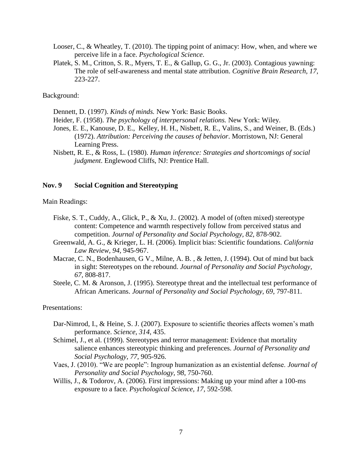- Looser, C., & Wheatley, T. (2010). The tipping point of animacy: How, when, and where we perceive life in a face. *Psychological Science*.
- Platek, S. M., Critton, S. R., Myers, T. E., & Gallup, G. G., Jr. (2003). Contagious yawning: The role of self-awareness and mental state attribution. *Cognitive Brain Research, 17,*  223-227.

# Background:

Dennett, D. (1997). *Kinds of minds.* New York: Basic Books.

- Heider, F. (1958). *The psychology of interpersonal relations.* New York: Wiley.
- Jones, E. E., Kanouse, D. E., Kelley, H. H., Nisbett, R. E., Valins, S., and Weiner, B. (Eds.) (1972). *Attribution: Perceiving the causes of behavior*. Morristown, NJ: General Learning Press.
- Nisbett, R. E., & Ross, L. (1980). *Human inference: Strategies and shortcomings of social judgment*. Englewood Cliffs, NJ: Prentice Hall.

## **Nov. 9 Social Cognition and Stereotyping**

#### Main Readings:

- Fiske, S. T., Cuddy, A., Glick, P., & Xu, J.. (2002). A model of (often mixed) stereotype content: Competence and warmth respectively follow from perceived status and competition. *Journal of Personality and Social Psychology, 82,* 878-902.
- Greenwald, A. G., & Krieger, L. H. (2006). Implicit bias: Scientific foundations. *California Law Review, 94,* 945-967.
- Macrae, C. N., Bodenhausen, G V., Milne, A. B. , & Jetten, J. (1994). Out of mind but back in sight: Stereotypes on the rebound. *Journal of Personality and Social Psychology, 67,* 808-817.
- Steele, C. M. & Aronson, J. (1995). Stereotype threat and the intellectual test performance of African Americans. *Journal of Personality and Social Psychology, 69*, 797-811.

- Dar-Nimrod, I., & Heine, S. J. (2007). Exposure to scientific theories affects women's math performance. *Science, 314,* 435.
- Schimel, J., et al. (1999). Stereotypes and terror management: Evidence that mortality salience enhances stereotypic thinking and preferences. *Journal of Personality and Social Psychology, 77,* 905-926.
- Vaes, J. (2010). "We are people": Ingroup humanization as an existential defense. *Journal of Personality and Social Psychology, 98*, 750-760.
- Willis, J., & Todorov, A. (2006). First impressions: Making up your mind after a 100-ms exposure to a face. *Psychological Science, 17,* 592-598.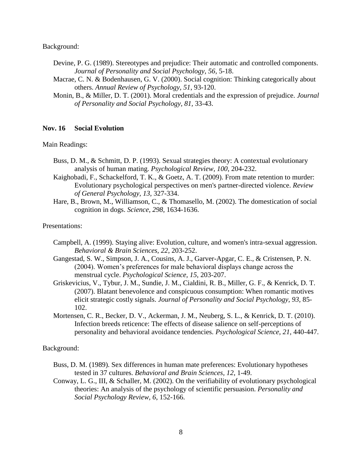Background:

- Devine, P. G. (1989). Stereotypes and prejudice: Their automatic and controlled components. *Journal of Personality and Social Psychology, 56,* 5-18.
- Macrae, C. N. & Bodenhausen, G. V. (2000). Social cognition: Thinking categorically about others. *Annual Review of Psychology, 51*, 93-120.
- Monin, B., & Miller, D. T. (2001). Moral credentials and the expression of prejudice. *Journal of Personality and Social Psychology, 81,* 33-43.

# **Nov. 16 Social Evolution**

Main Readings:

- Buss, D. M., & Schmitt, D. P. (1993). Sexual strategies theory: A contextual evolutionary analysis of human mating. *Psychological Review, 100*, 204-232.
- Kaighobadi, F., Schackelford, T. K., & Goetz, A. T. (2009). From mate retention to murder: Evolutionary psychological perspectives on men's partner-directed violence. *Review of General Psychology, 13,* 327-334.
- Hare, B., Brown, M., Williamson, C., & Thomasello, M. (2002). The domestication of social cognition in dogs. *Science, 298*, 1634-1636.

# Presentations:

- Campbell, A. (1999). Staying alive: Evolution, culture, and women's intra-sexual aggression. *Behavioral & Brain Sciences, 22*, 203-252.
- Gangestad, S. W., Simpson, J. A., Cousins, A. J., Garver-Apgar, C. E., & Cristensen, P. N. (2004). Women's preferences for male behavioral displays change across the menstrual cycle. *Psychological Science, 15,* 203-207.
- Griskevicius, V., Tybur, J. M., Sundie, J. M., Cialdini, R. B., Miller, G. F., & Kenrick, D. T. (2007). Blatant benevolence and conspicuous consumption: When romantic motives elicit strategic costly signals. *Journal of Personality and Social Psychology, 93,* 85- 102.
- Mortensen, C. R., Becker, D. V., Ackerman, J. M., Neuberg, S. L., & Kenrick, D. T. (2010). Infection breeds reticence: The effects of disease salience on self-perceptions of personality and behavioral avoidance tendencies. *Psychological Science, 21,* 440-447.

# Background:

- Buss, D. M. (1989). Sex differences in human mate preferences: Evolutionary hypotheses tested in 37 cultures. *Behavioral and Brain Sciences, 12*, 1-49.
- Conway, L. G., III, & Schaller, M. (2002). On the verifiability of evolutionary psychological theories: An analysis of the psychology of scientific persuasion. *Personality and Social Psychology Review, 6*, 152-166.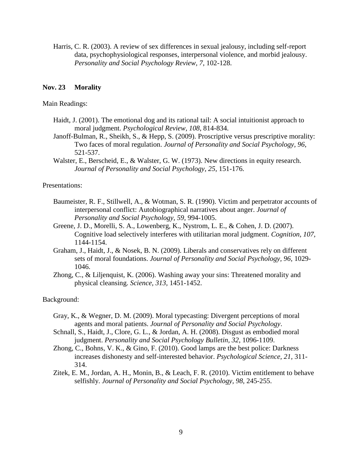Harris, C. R. (2003). A review of sex differences in sexual jealousy, including self-report data, psychophysiological responses, interpersonal violence, and morbid jealousy. *Personality and Social Psychology Review, 7*, 102-128.

# **Nov. 23 Morality**

# Main Readings:

- Haidt, J. (2001). The emotional dog and its rational tail: A social intuitionist approach to moral judgment. *Psychological Review, 108*, 814-834.
- Janoff-Bulman, R., Sheikh, S., & Hepp, S. (2009). Proscriptive versus prescriptive morality: Two faces of moral regulation. *Journal of Personality and Social Psychology, 96*, 521-537.
- Walster, E., Berscheid, E., & Walster, G. W. (1973). New directions in equity research. *Journal of Personality and Social Psychology, 25*, 151-176.

# Presentations:

- Baumeister, R. F., Stillwell, A., & Wotman, S. R. (1990). Victim and perpetrator accounts of interpersonal conflict: Autobiographical narratives about anger. *Journal of Personality and Social Psychology, 59,* 994-1005.
- Greene, J. D., Morelli, S. A., Lowenberg, K., Nystrom, L. E., & Cohen, J. D. (2007). Cognitive load selectively interferes with utilitarian moral judgment. *Cognition, 107,*  1144-1154.
- Graham, J., Haidt, J., & Nosek, B. N. (2009). Liberals and conservatives rely on different sets of moral foundations. *Journal of Personality and Social Psychology, 96,* 1029- 1046.
- Zhong, C., & Liljenquist, K. (2006). Washing away your sins: Threatened morality and physical cleansing. *Science, 313,* 1451-1452.

# Background:

- Gray, K., & Wegner, D. M. (2009). Moral typecasting: Divergent perceptions of moral agents and moral patients. *Journal of Personality and Social Psychology*.
- Schnall, S., Haidt, J., Clore, G. L., & Jordan, A. H. (2008). Disgust as embodied moral judgment. *Personality and Social Psychology Bulletin, 32*, 1096-1109.
- Zhong, C., Bohns, V. K., & Gino, F. (2010). Good lamps are the best police: Darkness increases dishonesty and self-interested behavior. *Psychological Science, 21,* 311- 314.
- Zitek, E. M., Jordan, A. H., Monin, B., & Leach, F. R. (2010). Victim entitlement to behave selfishly. *Journal of Personality and Social Psychology, 98,* 245-255.